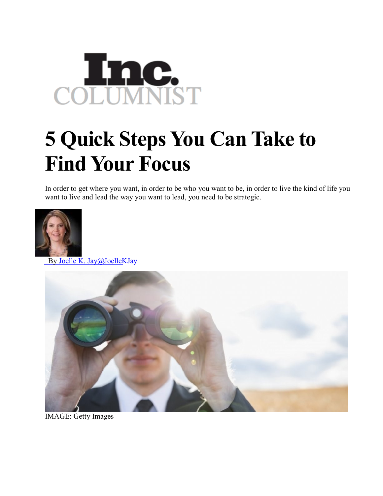

## **5 Quick Steps You Can Take to Find Your Focus**

In order to get where you want, in order to be who you want to be, in order to live the kind of life you want to live and lead the way you want to lead, you need to be strategic.



By Joelle K. [Jay@JoelleKJay](http://www.inc.com/author/joelle-k-jay)



IMAGE: Getty Images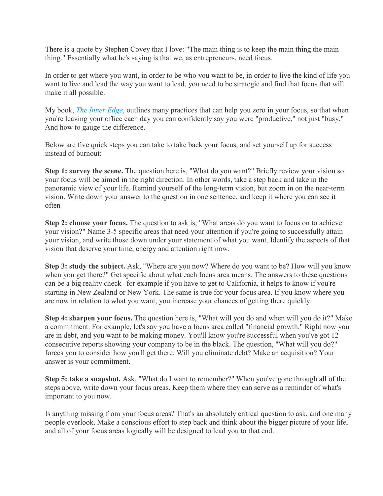There is a quote by Stephen Covey that I love: "The main thing is to keep the main thing the main thing." Essentially what he's saying is that we, as entrepreneurs, need focus.

In order to get where you want, in order to be who you want to be, in order to live the kind of life you want to live and lead the way you want to lead, you need to be strategic and find that focus that will make it all possible.

My book, *[The Inner Edge](http://joellekjay.com/the-inner-edge/)*, outlines many practices that can help you zero in your focus, so that when you're leaving your office each day you can confidently say you were "productive," not just "busy." And how to gauge the difference.

Below are five quick steps you can take to take back your focus, and set yourself up for success instead of burnout:

**Step 1: survey the scene.** The question here is, "What do you want?" Briefly review your vision so your focus will be aimed in the right direction. In other words, take a step back and take in the panoramic view of your life. Remind yourself of the long-term vision, but zoom in on the near-term vision. Write down your answer to the question in one sentence, and keep it where you can see it often

**Step 2: choose your focus.** The question to ask is, "What areas do you want to focus on to achieve your vision?" Name 3-5 specific areas that need your attention if you're going to successfully attain your vision, and write those down under your statement of what you want. Identify the aspects of that vision that deserve your time, energy and attention right now.

**Step 3: study the subject.** Ask, "Where are you now? Where do you want to be? How will you know when you get there?" Get specific about what each focus area means. The answers to these questions can be a big reality check--for example if you have to get to California, it helps to know if you're starting in New Zealand or New York. The same is true for your focus area. If you know where you are now in relation to what you want, you increase your chances of getting there quickly.

**Step 4: sharpen your focus.** The question here is, "What will you do and when will you do it?" Make a commitment. For example, let's say you have a focus area called "financial growth." Right now you are in debt, and you want to be making money. You'll know you're successful when you've got 12 consecutive reports showing your company to be in the black. The question, "What will you do?" forces you to consider how you'll get there. Will you eliminate debt? Make an acquisition? Your answer is your commitment.

**Step 5: take a snapshot.** Ask, "What do I want to remember?" When you've gone through all of the steps above, write down your focus areas. Keep them where they can serve as a reminder of what's important to you now.

Is anything missing from your focus areas? That's an absolutely critical question to ask, and one many people overlook. Make a conscious effort to step back and think about the bigger picture of your life, and all of your focus areas logically will be designed to lead you to that end.